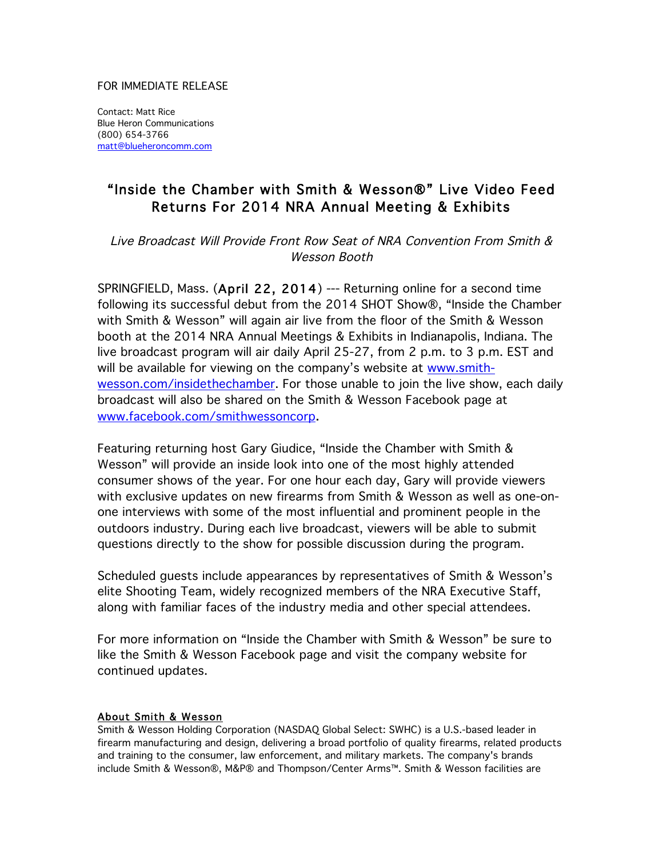## FOR IMMEDIATE RELEASE

Contact: Matt Rice Blue Heron Communications (800) 654-3766 matt@blueheroncomm.com

## "Inside the Chamber with Smith & Wesson®" Live Video Feed Returns For 2014 NRA Annual Meeting & Exhibits

Live Broadcast Will Provide Front Row Seat of NRA Convention From Smith & Wesson Booth

SPRINGFIELD, Mass. (April 22, 2014) --- Returning online for a second time following its successful debut from the 2014 SHOT Show®, "Inside the Chamber with Smith & Wesson" will again air live from the floor of the Smith & Wesson booth at the 2014 NRA Annual Meetings & Exhibits in Indianapolis, Indiana. The live broadcast program will air daily April 25-27, from 2 p.m. to 3 p.m. EST and will be available for viewing on the company's website at www.smithwesson.com/insidethechamber. For those unable to join the live show, each daily broadcast will also be shared on the Smith & Wesson Facebook page at www.facebook.com/smithwessoncorp.

Featuring returning host Gary Giudice, "Inside the Chamber with Smith & Wesson" will provide an inside look into one of the most highly attended consumer shows of the year. For one hour each day, Gary will provide viewers with exclusive updates on new firearms from Smith & Wesson as well as one-onone interviews with some of the most influential and prominent people in the outdoors industry. During each live broadcast, viewers will be able to submit questions directly to the show for possible discussion during the program.

Scheduled guests include appearances by representatives of Smith & Wesson's elite Shooting Team, widely recognized members of the NRA Executive Staff, along with familiar faces of the industry media and other special attendees.

For more information on "Inside the Chamber with Smith & Wesson" be sure to like the Smith & Wesson Facebook page and visit the company website for continued updates.

## About Smith & Wesson

Smith & Wesson Holding Corporation (NASDAQ Global Select: SWHC) is a U.S.-based leader in firearm manufacturing and design, delivering a broad portfolio of quality firearms, related products and training to the consumer, law enforcement, and military markets. The company's brands include Smith & Wesson®, M&P® and Thompson/Center Arms™. Smith & Wesson facilities are